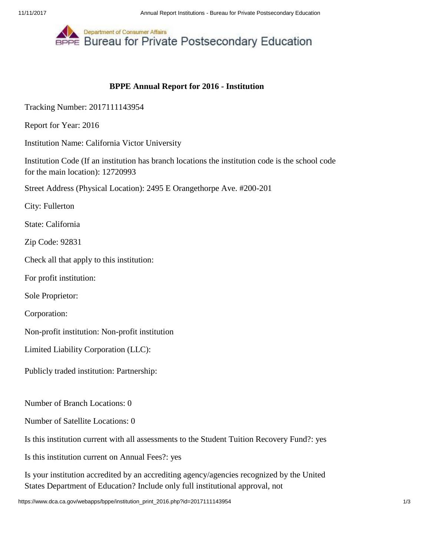

## **BPPE Annual Report for 2016 - Institution**

Tracking Number: 2017111143954

Report for Year: 2016

Institution Name: California Victor University

Institution Code (If an institution has branch locations the institution code is the school code for the main location): 12720993

Street Address (Physical Location): 2495 E Orangethorpe Ave. #200-201

City: Fullerton

State: California

Zip Code: 92831

Check all that apply to this institution:

For profit institution:

Sole Proprietor:

Corporation:

Non-profit institution: Non-profit institution

Limited Liability Corporation (LLC):

Publicly traded institution: Partnership:

Number of Branch Locations: 0

Number of Satellite Locations: 0

Is this institution current with all assessments to the Student Tuition Recovery Fund?: yes

Is this institution current on Annual Fees?: yes

Is your institution accredited by an accrediting agency/agencies recognized by the United States Department of Education? Include only full institutional approval, not

https://www.dca.ca.gov/webapps/bppe/institution\_print\_2016.php?id=2017111143954 1/3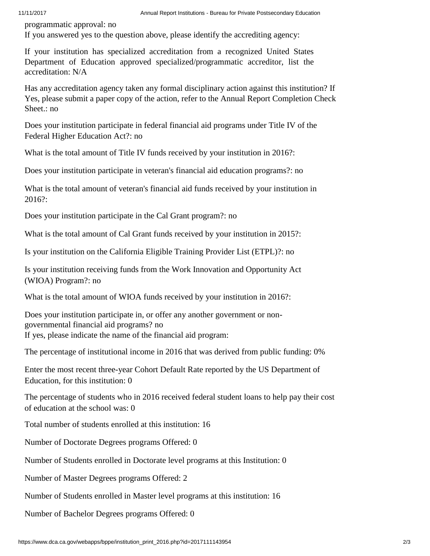programmatic approval: no

If you answered yes to the question above, please identify the accrediting agency:

If your institution has specialized accreditation from a recognized United States Department of Education approved specialized/programmatic accreditor, list the accreditation: N/A

Has any accreditation agency taken any formal disciplinary action against this institution? If Yes, please submit a paper copy of the action, refer to the Annual Report Completion Check Sheet.: no

Does your institution participate in federal financial aid programs under Title IV of the Federal Higher Education Act?: no

What is the total amount of Title IV funds received by your institution in 2016?:

Does your institution participate in veteran's financial aid education programs?: no

What is the total amount of veteran's financial aid funds received by your institution in 2016?:

Does your institution participate in the Cal Grant program?: no

What is the total amount of Cal Grant funds received by your institution in 2015?:

Is your institution on the California Eligible Training Provider List (ETPL)?: no

Is your institution receiving funds from the Work Innovation and Opportunity Act (WIOA) Program?: no

What is the total amount of WIOA funds received by your institution in 2016?:

Does your institution participate in, or offer any another government or nongovernmental financial aid programs? no If yes, please indicate the name of the financial aid program:

The percentage of institutional income in 2016 that was derived from public funding: 0%

Enter the most recent three-year Cohort Default Rate reported by the US Department of Education, for this institution: 0

The percentage of students who in 2016 received federal student loans to help pay their cost of education at the school was: 0

Total number of students enrolled at this institution: 16

Number of Doctorate Degrees programs Offered: 0

Number of Students enrolled in Doctorate level programs at this Institution: 0

Number of Master Degrees programs Offered: 2

Number of Students enrolled in Master level programs at this institution: 16

Number of Bachelor Degrees programs Offered: 0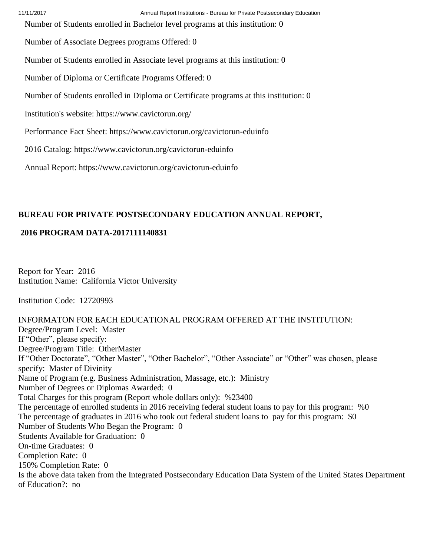Number of Students enrolled in Bachelor level programs at this institution: 0

Number of Associate Degrees programs Offered: 0

Number of Students enrolled in Associate level programs at this institution: 0

Number of Diploma or Certificate Programs Offered: 0

Number of Students enrolled in Diploma or Certificate programs at this institution: 0

Institution's website: https://www.cavictorun.org/

Performance Fact Sheet: https://www.cavictorun.org/cavictorun-eduinfo

2016 Catalog: https://www.cavictorun.org/cavictorun-eduinfo

Annual Report: https://www.cavictorun.org/cavictorun-eduinfo

## **BUREAU FOR PRIVATE POSTSECONDARY EDUCATION ANNUAL REPORT,**

## **2016 PROGRAM DATA-2017111140831**

Report for Year: 2016 Institution Name: California Victor University

Institution Code: 12720993

INFORMATON FOR EACH EDUCATIONAL PROGRAM OFFERED AT THE INSTITUTION: Degree/Program Level: Master If "Other", please specify: Degree/Program Title: OtherMaster If "Other Doctorate", "Other Master", "Other Bachelor", "Other Associate" or "Other" was chosen, please specify: Master of Divinity Name of Program (e.g. Business Administration, Massage, etc.): Ministry Number of Degrees or Diplomas Awarded: 0 Total Charges for this program (Report whole dollars only): %23400 The percentage of enrolled students in 2016 receiving federal student loans to pay for this program: %0 The percentage of graduates in 2016 who took out federal student loans to pay for this program: \$0 Number of Students Who Began the Program: 0 Students Available for Graduation: 0 On-time Graduates: 0 Completion Rate: 0 150% Completion Rate: 0 Is the above data taken from the Integrated Postsecondary Education Data System of the United States Department of Education?: no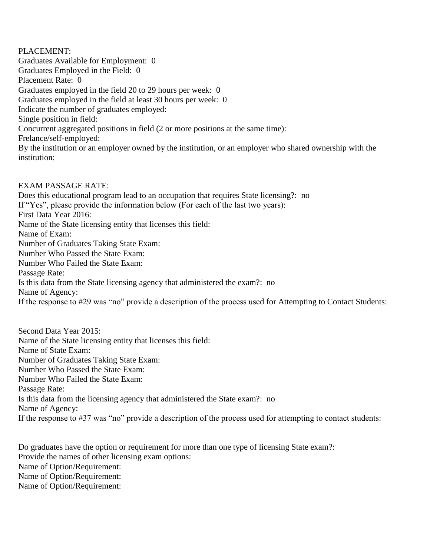PLACEMENT: Graduates Available for Employment: 0 Graduates Employed in the Field: 0 Placement Rate: 0 Graduates employed in the field 20 to 29 hours per week: 0 Graduates employed in the field at least 30 hours per week: 0 Indicate the number of graduates employed: Single position in field: Concurrent aggregated positions in field (2 or more positions at the same time): Frelance/self-employed: By the institution or an employer owned by the institution, or an employer who shared ownership with the institution:

EXAM PASSAGE RATE: Does this educational program lead to an occupation that requires State licensing?: no If "Yes", please provide the information below (For each of the last two years): First Data Year 2016: Name of the State licensing entity that licenses this field: Name of Exam: Number of Graduates Taking State Exam: Number Who Passed the State Exam: Number Who Failed the State Exam: Passage Rate: Is this data from the State licensing agency that administered the exam?: no Name of Agency: If the response to #29 was "no" provide a description of the process used for Attempting to Contact Students:

Second Data Year 2015: Name of the State licensing entity that licenses this field: Name of State Exam: Number of Graduates Taking State Exam: Number Who Passed the State Exam: Number Who Failed the State Exam: Passage Rate: Is this data from the licensing agency that administered the State exam?: no Name of Agency: If the response to #37 was "no" provide a description of the process used for attempting to contact students:

Do graduates have the option or requirement for more than one type of licensing State exam?: Provide the names of other licensing exam options: Name of Option/Requirement: Name of Option/Requirement: Name of Option/Requirement: